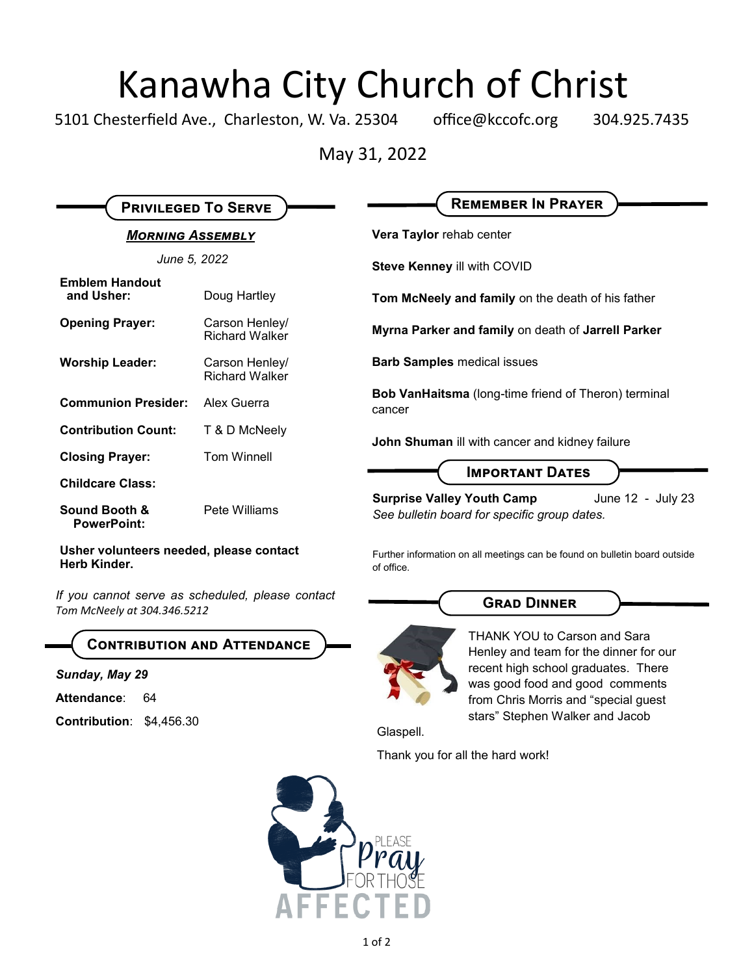# Kanawha City Church of Christ<br>esterfield Ave., Charleston, W. Va. 25304 office@kccofc.org 304.9

5101 Chesterfield Ave., Charleston, W. Va. 25304 office@kccofc.org 304.925.7435

 $\blacksquare$ 

May 31, 2022

| <b>MORNING ASSEMBLY</b><br>June 5, 2022<br>Doug Hartley<br>Carson Henley/<br><b>Richard Walker</b> | Vera Taylor rehab center<br>Steve Kenney ill with COVID<br>Tom McNeely and family on the death of his father<br>Myrna Parker and family on death of Jarrell Parker                                       |
|----------------------------------------------------------------------------------------------------|----------------------------------------------------------------------------------------------------------------------------------------------------------------------------------------------------------|
|                                                                                                    |                                                                                                                                                                                                          |
|                                                                                                    |                                                                                                                                                                                                          |
|                                                                                                    |                                                                                                                                                                                                          |
|                                                                                                    |                                                                                                                                                                                                          |
| Carson Henley/<br><b>Richard Walker</b>                                                            | <b>Barb Samples medical issues</b>                                                                                                                                                                       |
|                                                                                                    | Bob VanHaitsma (long-time friend of Theron) terminal<br>cancer                                                                                                                                           |
|                                                                                                    | John Shuman ill with cancer and kidney failure                                                                                                                                                           |
|                                                                                                    |                                                                                                                                                                                                          |
|                                                                                                    | <b>IMPORTANT DATES</b>                                                                                                                                                                                   |
|                                                                                                    | <b>Surprise Valley Youth Camp</b><br>June 12 - July 23<br>See bulletin board for specific group dates.                                                                                                   |
|                                                                                                    | Further information on all meetings can be found on bulletin board outside<br>of office.                                                                                                                 |
|                                                                                                    | <b>GRAD DINNER</b>                                                                                                                                                                                       |
|                                                                                                    | <b>THANK YOU to Carson and Sara</b><br>Henley and team for the dinner for our                                                                                                                            |
|                                                                                                    | recent high school graduates. There<br>was good food and good comments<br>from Chris Morris and "special guest                                                                                           |
|                                                                                                    |                                                                                                                                                                                                          |
| Contribution: \$4,456.30                                                                           | stars" Stephen Walker and Jacob<br>Glaspell.                                                                                                                                                             |
|                                                                                                    | Thank you for all the hard work!                                                                                                                                                                         |
|                                                                                                    | Alex Guerra<br>T & D McNeely<br><b>Tom Winnell</b><br>Pete Williams<br>Usher volunteers needed, please contact<br>If you cannot serve as scheduled, please contact<br><b>CONTRIBUTION AND ATTENDANCE</b> |